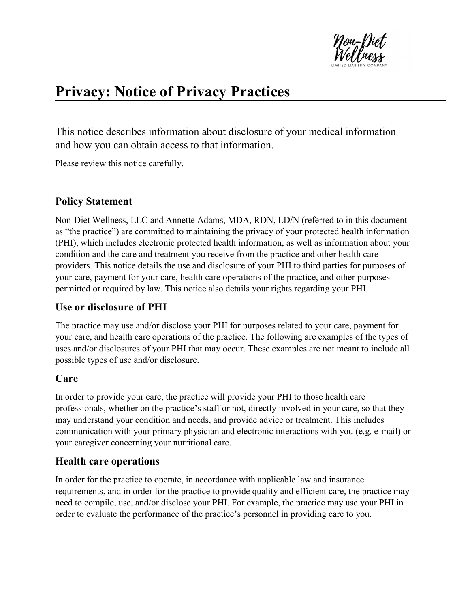

# Privacy: Notice of Privacy Practices

This notice describes information about disclosure of your medical information and how you can obtain access to that information.

Please review this notice carefully.

#### Policy Statement

Non-Diet Wellness, LLC and Annette Adams, MDA, RDN, LD/N (referred to in this document as "the practice") are committed to maintaining the privacy of your protected health information (PHI), which includes electronic protected health information, as well as information about your condition and the care and treatment you receive from the practice and other health care providers. This notice details the use and disclosure of your PHI to third parties for purposes of your care, payment for your care, health care operations of the practice, and other purposes permitted or required by law. This notice also details your rights regarding your PHI.

#### Use or disclosure of PHI

The practice may use and/or disclose your PHI for purposes related to your care, payment for your care, and health care operations of the practice. The following are examples of the types of uses and/or disclosures of your PHI that may occur. These examples are not meant to include all possible types of use and/or disclosure.

#### **Care**

In order to provide your care, the practice will provide your PHI to those health care professionals, whether on the practice's staff or not, directly involved in your care, so that they may understand your condition and needs, and provide advice or treatment. This includes communication with your primary physician and electronic interactions with you (e.g. e-mail) or your caregiver concerning your nutritional care.

#### Health care operations

In order for the practice to operate, in accordance with applicable law and insurance requirements, and in order for the practice to provide quality and efficient care, the practice may need to compile, use, and/or disclose your PHI. For example, the practice may use your PHI in order to evaluate the performance of the practice's personnel in providing care to you.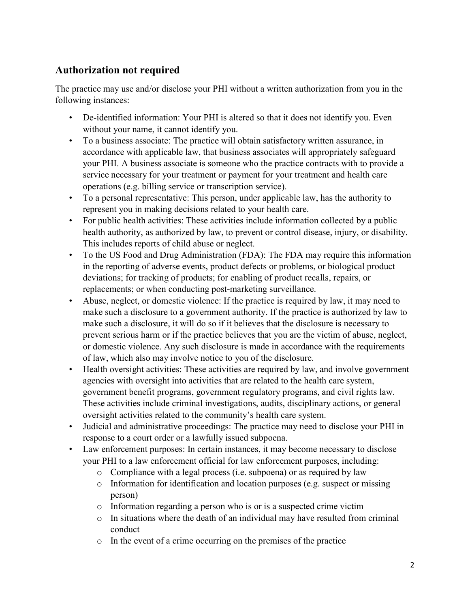# Authorization not required

The practice may use and/or disclose your PHI without a written authorization from you in the following instances:

- De-identified information: Your PHI is altered so that it does not identify you. Even without your name, it cannot identify you.
- To a business associate: The practice will obtain satisfactory written assurance, in accordance with applicable law, that business associates will appropriately safeguard your PHI. A business associate is someone who the practice contracts with to provide a service necessary for your treatment or payment for your treatment and health care operations (e.g. billing service or transcription service).
- To a personal representative: This person, under applicable law, has the authority to represent you in making decisions related to your health care.
- For public health activities: These activities include information collected by a public health authority, as authorized by law, to prevent or control disease, injury, or disability. This includes reports of child abuse or neglect.
- To the US Food and Drug Administration (FDA): The FDA may require this information in the reporting of adverse events, product defects or problems, or biological product deviations; for tracking of products; for enabling of product recalls, repairs, or replacements; or when conducting post-marketing surveillance.
- Abuse, neglect, or domestic violence: If the practice is required by law, it may need to make such a disclosure to a government authority. If the practice is authorized by law to make such a disclosure, it will do so if it believes that the disclosure is necessary to prevent serious harm or if the practice believes that you are the victim of abuse, neglect, or domestic violence. Any such disclosure is made in accordance with the requirements of law, which also may involve notice to you of the disclosure.
- Health oversight activities: These activities are required by law, and involve government agencies with oversight into activities that are related to the health care system, government benefit programs, government regulatory programs, and civil rights law. These activities include criminal investigations, audits, disciplinary actions, or general oversight activities related to the community's health care system.
- Judicial and administrative proceedings: The practice may need to disclose your PHI in response to a court order or a lawfully issued subpoena.
- Law enforcement purposes: In certain instances, it may become necessary to disclose your PHI to a law enforcement official for law enforcement purposes, including:
	- o Compliance with a legal process (i.e. subpoena) or as required by law
	- $\circ$  Information for identification and location purposes (e.g. suspect or missing person)
	- o Information regarding a person who is or is a suspected crime victim
	- o In situations where the death of an individual may have resulted from criminal conduct
	- o In the event of a crime occurring on the premises of the practice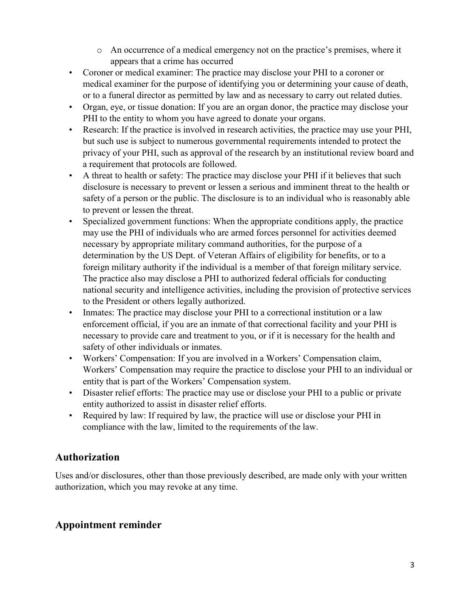- o An occurrence of a medical emergency not on the practice's premises, where it appears that a crime has occurred
- Coroner or medical examiner: The practice may disclose your PHI to a coroner or medical examiner for the purpose of identifying you or determining your cause of death, or to a funeral director as permitted by law and as necessary to carry out related duties.
- Organ, eye, or tissue donation: If you are an organ donor, the practice may disclose your PHI to the entity to whom you have agreed to donate your organs.
- Research: If the practice is involved in research activities, the practice may use your PHI, but such use is subject to numerous governmental requirements intended to protect the privacy of your PHI, such as approval of the research by an institutional review board and a requirement that protocols are followed.
- A threat to health or safety: The practice may disclose your PHI if it believes that such disclosure is necessary to prevent or lessen a serious and imminent threat to the health or safety of a person or the public. The disclosure is to an individual who is reasonably able to prevent or lessen the threat.
- Specialized government functions: When the appropriate conditions apply, the practice may use the PHI of individuals who are armed forces personnel for activities deemed necessary by appropriate military command authorities, for the purpose of a determination by the US Dept. of Veteran Affairs of eligibility for benefits, or to a foreign military authority if the individual is a member of that foreign military service. The practice also may disclose a PHI to authorized federal officials for conducting national security and intelligence activities, including the provision of protective services to the President or others legally authorized.
- Inmates: The practice may disclose your PHI to a correctional institution or a law enforcement official, if you are an inmate of that correctional facility and your PHI is necessary to provide care and treatment to you, or if it is necessary for the health and safety of other individuals or inmates.
- Workers' Compensation: If you are involved in a Workers' Compensation claim, Workers' Compensation may require the practice to disclose your PHI to an individual or entity that is part of the Workers' Compensation system.
- Disaster relief efforts: The practice may use or disclose your PHI to a public or private entity authorized to assist in disaster relief efforts.
- Required by law: If required by law, the practice will use or disclose your PHI in compliance with the law, limited to the requirements of the law.

## Authorization

Uses and/or disclosures, other than those previously described, are made only with your written authorization, which you may revoke at any time.

## Appointment reminder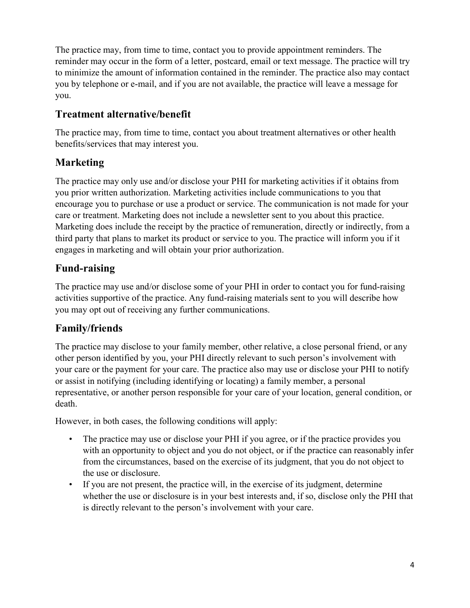The practice may, from time to time, contact you to provide appointment reminders. The reminder may occur in the form of a letter, postcard, email or text message. The practice will try to minimize the amount of information contained in the reminder. The practice also may contact you by telephone or e-mail, and if you are not available, the practice will leave a message for you.

# Treatment alternative/benefit

The practice may, from time to time, contact you about treatment alternatives or other health benefits/services that may interest you.

## Marketing

The practice may only use and/or disclose your PHI for marketing activities if it obtains from you prior written authorization. Marketing activities include communications to you that encourage you to purchase or use a product or service. The communication is not made for your care or treatment. Marketing does not include a newsletter sent to you about this practice. Marketing does include the receipt by the practice of remuneration, directly or indirectly, from a third party that plans to market its product or service to you. The practice will inform you if it engages in marketing and will obtain your prior authorization.

## Fund-raising

The practice may use and/or disclose some of your PHI in order to contact you for fund-raising activities supportive of the practice. Any fund-raising materials sent to you will describe how you may opt out of receiving any further communications.

# Family/friends

The practice may disclose to your family member, other relative, a close personal friend, or any other person identified by you, your PHI directly relevant to such person's involvement with your care or the payment for your care. The practice also may use or disclose your PHI to notify or assist in notifying (including identifying or locating) a family member, a personal representative, or another person responsible for your care of your location, general condition, or death.

However, in both cases, the following conditions will apply:

- The practice may use or disclose your PHI if you agree, or if the practice provides you with an opportunity to object and you do not object, or if the practice can reasonably infer from the circumstances, based on the exercise of its judgment, that you do not object to the use or disclosure.
- If you are not present, the practice will, in the exercise of its judgment, determine whether the use or disclosure is in your best interests and, if so, disclose only the PHI that is directly relevant to the person's involvement with your care.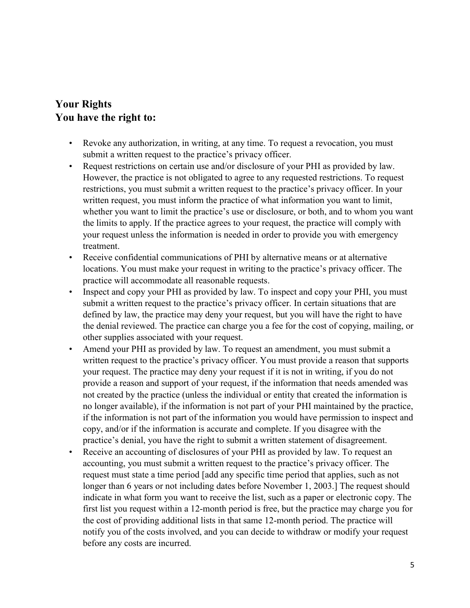#### Your Rights You have the right to:

- Revoke any authorization, in writing, at any time. To request a revocation, you must submit a written request to the practice's privacy officer.
- Request restrictions on certain use and/or disclosure of your PHI as provided by law. However, the practice is not obligated to agree to any requested restrictions. To request restrictions, you must submit a written request to the practice's privacy officer. In your written request, you must inform the practice of what information you want to limit, whether you want to limit the practice's use or disclosure, or both, and to whom you want the limits to apply. If the practice agrees to your request, the practice will comply with your request unless the information is needed in order to provide you with emergency treatment.
- Receive confidential communications of PHI by alternative means or at alternative locations. You must make your request in writing to the practice's privacy officer. The practice will accommodate all reasonable requests.
- Inspect and copy your PHI as provided by law. To inspect and copy your PHI, you must submit a written request to the practice's privacy officer. In certain situations that are defined by law, the practice may deny your request, but you will have the right to have the denial reviewed. The practice can charge you a fee for the cost of copying, mailing, or other supplies associated with your request.
- Amend your PHI as provided by law. To request an amendment, you must submit a written request to the practice's privacy officer. You must provide a reason that supports your request. The practice may deny your request if it is not in writing, if you do not provide a reason and support of your request, if the information that needs amended was not created by the practice (unless the individual or entity that created the information is no longer available), if the information is not part of your PHI maintained by the practice, if the information is not part of the information you would have permission to inspect and copy, and/or if the information is accurate and complete. If you disagree with the practice's denial, you have the right to submit a written statement of disagreement.
- Receive an accounting of disclosures of your PHI as provided by law. To request an accounting, you must submit a written request to the practice's privacy officer. The request must state a time period [add any specific time period that applies, such as not longer than 6 years or not including dates before November 1, 2003.] The request should indicate in what form you want to receive the list, such as a paper or electronic copy. The first list you request within a 12-month period is free, but the practice may charge you for the cost of providing additional lists in that same 12-month period. The practice will notify you of the costs involved, and you can decide to withdraw or modify your request before any costs are incurred.